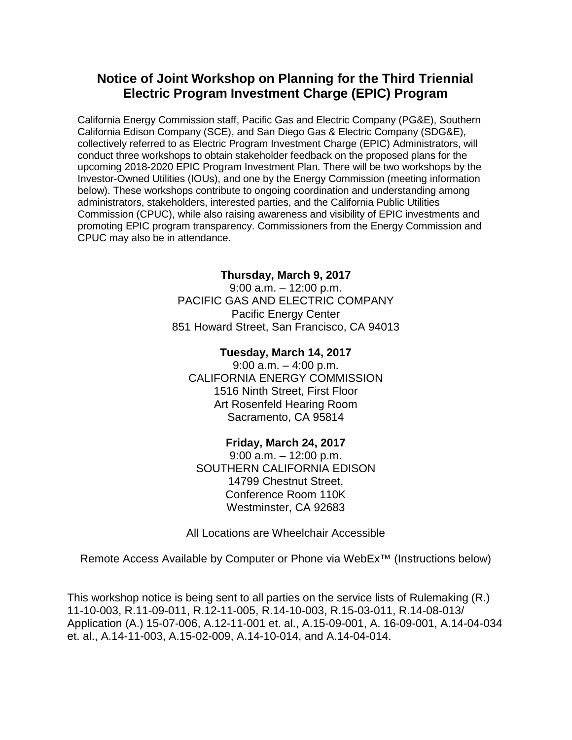## **Notice of Joint Workshop on Planning for the Third Triennial Electric Program Investment Charge (EPIC) Program**

California Energy Commission staff, Pacific Gas and Electric Company (PG&E), Southern California Edison Company (SCE), and San Diego Gas & Electric Company (SDG&E), collectively referred to as Electric Program Investment Charge (EPIC) Administrators, will conduct three workshops to obtain stakeholder feedback on the proposed plans for the upcoming 2018-2020 EPIC Program Investment Plan. There will be two workshops by the Investor-Owned Utilities (IOUs), and one by the Energy Commission (meeting information below). These workshops contribute to ongoing coordination and understanding among administrators, stakeholders, interested parties, and the California Public Utilities Commission (CPUC), while also raising awareness and visibility of EPIC investments and promoting EPIC program transparency. Commissioners from the Energy Commission and CPUC may also be in attendance.

#### **Thursday, March 9, 2017**

9:00 a.m. – 12:00 p.m. PACIFIC GAS AND ELECTRIC COMPANY Pacific Energy Center 851 Howard Street, San Francisco, CA 94013

**Tuesday, March 14, 2017** 9:00 a.m. – 4:00 p.m. CALIFORNIA ENERGY COMMISSION 1516 Ninth Street, First Floor Art Rosenfeld Hearing Room Sacramento, CA 95814

#### **Friday, March 24, 2017**

9:00 a.m. – 12:00 p.m. SOUTHERN CALIFORNIA EDISON 14799 Chestnut Street, Conference Room 110K Westminster, CA 92683

All Locations are Wheelchair Accessible

Remote Access Available by Computer or Phone via WebEx™ (Instructions below)

This workshop notice is being sent to all parties on the service lists of Rulemaking (R.) 11-10-003, R.11-09-011, R.12-11-005, R.14-10-003, R.15-03-011, R.14-08-013/ Application (A.) 15-07-006, A.12-11-001 et. al., A.15-09-001, A. 16-09-001, A.14-04-034 et. al., A.14-11-003, A.15-02-009, A.14-10-014, and A.14-04-014.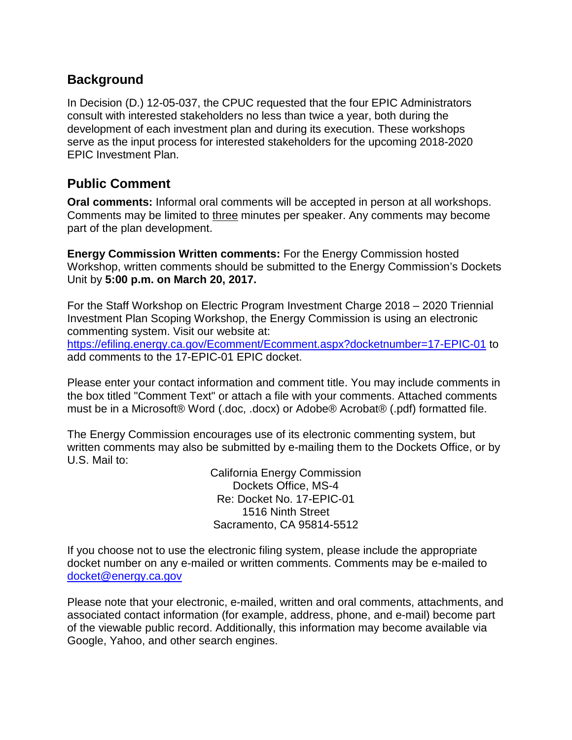# **Background**

In Decision (D.) 12-05-037, the CPUC requested that the four EPIC Administrators consult with interested stakeholders no less than twice a year, both during the development of each investment plan and during its execution. These workshops serve as the input process for interested stakeholders for the upcoming 2018-2020 EPIC Investment Plan.

## **Public Comment**

**Oral comments:** Informal oral comments will be accepted in person at all workshops. Comments may be limited to three minutes per speaker. Any comments may become part of the plan development.

**Energy Commission Written comments:** For the Energy Commission hosted Workshop, written comments should be submitted to the Energy Commission's Dockets Unit by **5:00 p.m. on March 20, 2017.** 

For the Staff Workshop on Electric Program Investment Charge 2018 – 2020 Triennial Investment Plan Scoping Workshop, the Energy Commission is using an electronic commenting system. Visit our website at:

<https://efiling.energy.ca.gov/Ecomment/Ecomment.aspx?docketnumber=17-EPIC-01> to add comments to the 17-EPIC-01 EPIC docket.

Please enter your contact information and comment title. You may include comments in the box titled "Comment Text" or attach a file with your comments. Attached comments must be in a Microsoft® Word (.doc, .docx) or Adobe® Acrobat® (.pdf) formatted file.

The Energy Commission encourages use of its electronic commenting system, but written comments may also be submitted by e-mailing them to the Dockets Office, or by U.S. Mail to:

> California Energy Commission Dockets Office, MS-4 Re: Docket No. 17-EPIC-01 1516 Ninth Street Sacramento, CA 95814-5512

If you choose not to use the electronic filing system, please include the appropriate docket number on any e-mailed or written comments. Comments may be e-mailed to docket@energy.ca.gov

Please note that your electronic, e-mailed, written and oral comments, attachments, and associated contact information (for example, address, phone, and e-mail) become part of the viewable public record. Additionally, this information may become available via Google, Yahoo, and other search engines.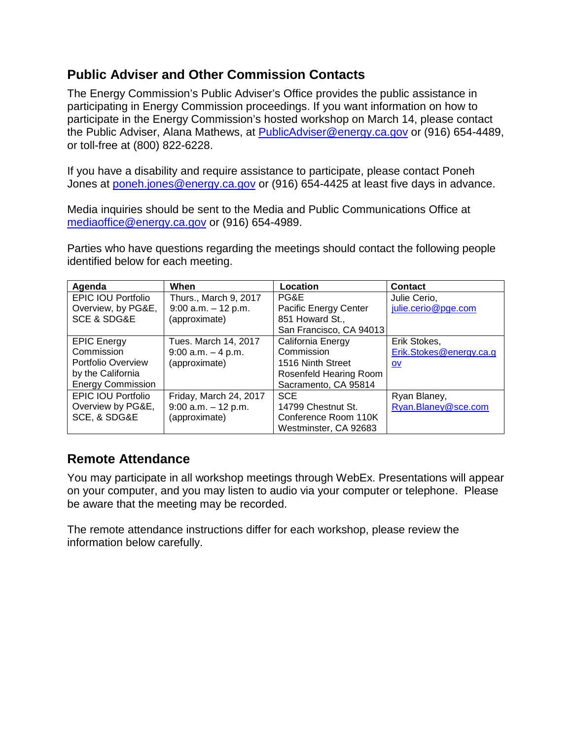# **Public Adviser and Other Commission Contacts**

The Energy Commission's Public Adviser's Office provides the public assistance in participating in Energy Commission proceedings. If you want information on how to participate in the Energy Commission's hosted workshop on March 14, please contact the Public Adviser, Alana Mathews, at [PublicAdviser@energy.ca.gov](mailto:PublicAdviser@energy.ca.gov) or (916) 654-4489, or toll-free at (800) 822-6228.

If you have a disability and require assistance to participate, please contact Poneh Jones at [poneh.jones@energy.ca.gov](mailto:poneh.jones@energy.ca.gov) or (916) 654-4425 at least five days in advance.

Media inquiries should be sent to the Media and Public Communications Office at [mediaoffice@energy.ca.gov](mailto:mediaoffice@energy.ca.gov) or (916) 654-4989.

Parties who have questions regarding the meetings should contact the following people identified below for each meeting.

| Agenda                     | When                   | Location                | <b>Contact</b>          |
|----------------------------|------------------------|-------------------------|-------------------------|
| <b>EPIC IOU Portfolio</b>  | Thurs., March 9, 2017  | PG&E                    | Julie Cerio,            |
| Overview, by PG&E,         | $9:00$ a.m. $-12$ p.m. | Pacific Energy Center   | julie.cerio@pge.com     |
| <b>SCE &amp; SDG&amp;E</b> | (approximate)          | 851 Howard St.,         |                         |
|                            |                        | San Francisco, CA 94013 |                         |
| <b>EPIC Energy</b>         | Tues. March 14, 2017   | California Energy       | Erik Stokes,            |
| Commission                 | $9:00$ a.m. $-4$ p.m.  | Commission              | Erik.Stokes@energy.ca.g |
| Portfolio Overview         | (approximate)          | 1516 Ninth Street       | OV                      |
| by the California          |                        | Rosenfeld Hearing Room  |                         |
| <b>Energy Commission</b>   |                        | Sacramento, CA 95814    |                         |
| <b>EPIC IOU Portfolio</b>  | Friday, March 24, 2017 | <b>SCE</b>              | Ryan Blaney,            |
| Overview by PG&E,          | $9:00$ a.m. $-12$ p.m. | 14799 Chestnut St.      | Ryan.Blaney@sce.com     |
| SCE, & SDG&E               | (approximate)          | Conference Room 110K    |                         |
|                            |                        | Westminster, CA 92683   |                         |

# **Remote Attendance**

You may participate in all workshop meetings through WebEx. Presentations will appear on your computer, and you may listen to audio via your computer or telephone. Please be aware that the meeting may be recorded.

The remote attendance instructions differ for each workshop, please review the information below carefully.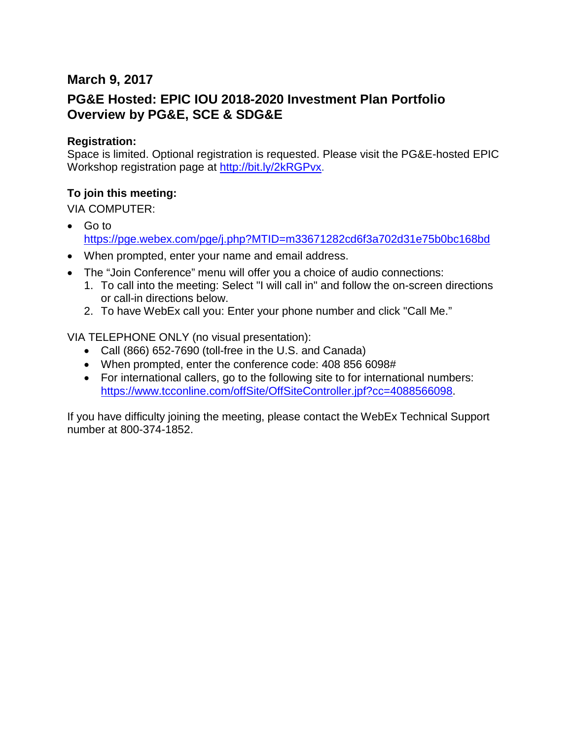### **March 9, 2017**

## **PG&E Hosted: EPIC IOU 2018-2020 Investment Plan Portfolio Overview by PG&E, SCE & SDG&E**

#### **Registration:**

Space is limited. Optional registration is requested. Please visit the PG&E-hosted EPIC Workshop registration page at [http://bit.ly/2kRGPvx.](http://bit.ly/2kRGPvx)

#### **To join this meeting:**

VIA COMPUTER:

- Go to <https://pge.webex.com/pge/j.php?MTID=m33671282cd6f3a702d31e75b0bc168bd>
- When prompted, enter your name and email address.
- The "Join Conference" menu will offer you a choice of audio connections:
	- 1. To call into the meeting: Select "I will call in" and follow the on-screen directions or call-in directions below.
	- 2. To have WebEx call you: Enter your phone number and click "Call Me."

VIA TELEPHONE ONLY (no visual presentation):

- Call (866) 652-7690 (toll-free in the U.S. and Canada)
- When prompted, enter the conference code: 408 856 6098#
- For international callers, go to the following site to for international numbers: [https://www.tcconline.com/offSite/OffSiteController.jpf?cc=4088566098.](https://www.tcconline.com/offSite/OffSiteController.jpf?cc=4088566098)

If you have difficulty joining the meeting, please contact the WebEx Technical Support number at 800-374-1852.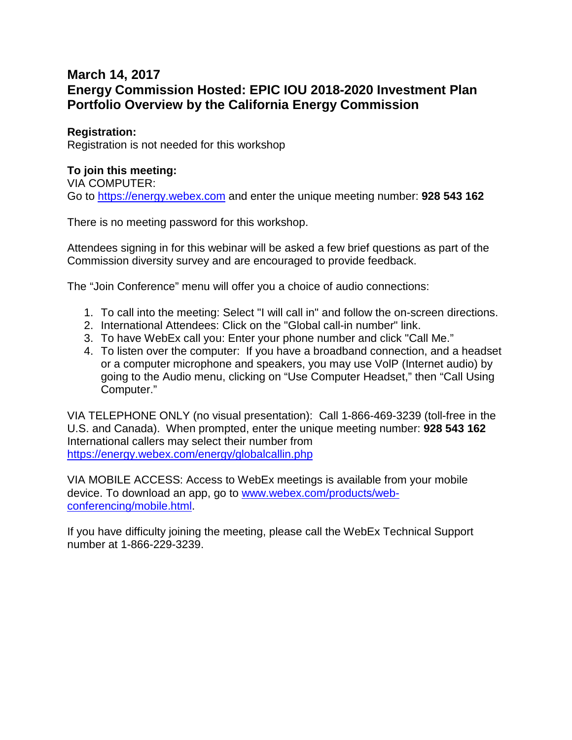## **March 14, 2017 Energy Commission Hosted: EPIC IOU 2018-2020 Investment Plan Portfolio Overview by the California Energy Commission**

#### **Registration:**

Registration is not needed for this workshop

#### **To join this meeting:**

VIA COMPUTER: Go to [https://energy.webex.com](https://energy.webex.com/) and enter the unique meeting number: **928 543 162**

There is no meeting password for this workshop.

Attendees signing in for this webinar will be asked a few brief questions as part of the Commission diversity survey and are encouraged to provide feedback.

The "Join Conference" menu will offer you a choice of audio connections:

- 1. To call into the meeting: Select "I will call in" and follow the on-screen directions.
- 2. International Attendees: Click on the "Global call-in number" link.
- 3. To have WebEx call you: Enter your phone number and click "Call Me."
- 4. To listen over the computer: If you have a broadband connection, and a headset or a computer microphone and speakers, you may use VolP (Internet audio) by going to the Audio menu, clicking on "Use Computer Headset," then "Call Using Computer."

VIA TELEPHONE ONLY (no visual presentation): Call 1-866-469-3239 (toll-free in the U.S. and Canada). When prompted, enter the unique meeting number: **928 543 162** International callers may select their number from <https://energy.webex.com/energy/globalcallin.php>

VIA MOBILE ACCESS: Access to WebEx meetings is available from your mobile device. To download an app, go to [www.webex.com/products/web](http://www.webex.com/products/web-conferencing/mobile.html)[conferencing/mobile.html.](http://www.webex.com/products/web-conferencing/mobile.html)

If you have difficulty joining the meeting, please call the WebEx Technical Support number at 1-866-229-3239.